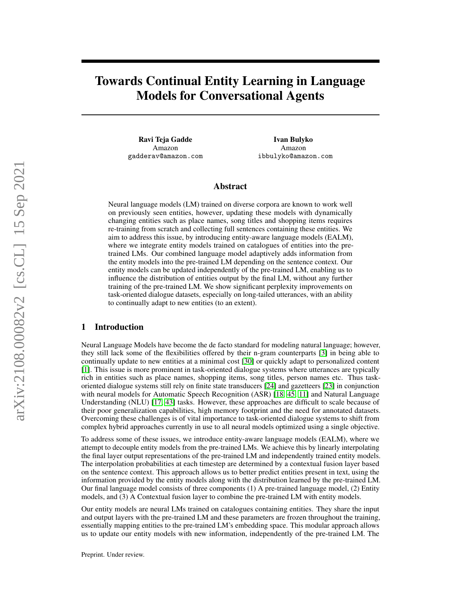# Towards Continual Entity Learning in Language Models for Conversational Agents

Ravi Teja Gadde Amazon gadderav@amazon.com

Ivan Bulyko Amazon ibbulyko@amazon.com

## Abstract

Neural language models (LM) trained on diverse corpora are known to work well on previously seen entities, however, updating these models with dynamically changing entities such as place names, song titles and shopping items requires re-training from scratch and collecting full sentences containing these entities. We aim to address this issue, by introducing entity-aware language models (EALM), where we integrate entity models trained on catalogues of entities into the pretrained LMs. Our combined language model adaptively adds information from the entity models into the pre-trained LM depending on the sentence context. Our entity models can be updated independently of the pre-trained LM, enabling us to influence the distribution of entities output by the final LM, without any further training of the pre-trained LM. We show significant perplexity improvements on task-oriented dialogue datasets, especially on long-tailed utterances, with an ability to continually adapt to new entities (to an extent).

# 1 Introduction

Neural Language Models have become the de facto standard for modeling natural language; however, they still lack some of the flexibilities offered by their n-gram counterparts [\[3\]](#page-9-0) in being able to continually update to new entities at a minimal cost [\[30\]](#page-11-0) or quickly adapt to personalized content [\[1\]](#page-9-1). This issue is more prominent in task-oriented dialogue systems where utterances are typically rich in entities such as place names, shopping items, song titles, person names etc. Thus taskoriented dialogue systems still rely on finite state transducers [\[24\]](#page-11-1) and gazetteers [\[23\]](#page-11-2) in conjunction with neural models for Automatic Speech Recognition (ASR) [\[18,](#page-10-0) [45,](#page-12-0) [11\]](#page-10-1) and Natural Language Understanding (NLU) [\[17,](#page-10-2) [43\]](#page-12-1) tasks. However, these approaches are difficult to scale because of their poor generalization capabilities, high memory footprint and the need for annotated datasets. Overcoming these challenges is of vital importance to task-oriented dialogue systems to shift from complex hybrid approaches currently in use to all neural models optimized using a single objective.

To address some of these issues, we introduce entity-aware language models (EALM), where we attempt to decouple entity models from the pre-trained LMs. We achieve this by linearly interpolating the final layer output representations of the pre-trained LM and independently trained entity models. The interpolation probabilities at each timestep are determined by a contextual fusion layer based on the sentence context. This approach allows us to better predict entities present in text, using the information provided by the entity models along with the distribution learned by the pre-trained LM. Our final language model consists of three components (1) A pre-trained language model, (2) Entity models, and (3) A Contextual fusion layer to combine the pre-trained LM with entity models.

Our entity models are neural LMs trained on catalogues containing entities. They share the input and output layers with the pre-trained LM and these parameters are frozen throughout the training, essentially mapping entities to the pre-trained LM's embedding space. This modular approach allows us to update our entity models with new information, independently of the pre-trained LM. The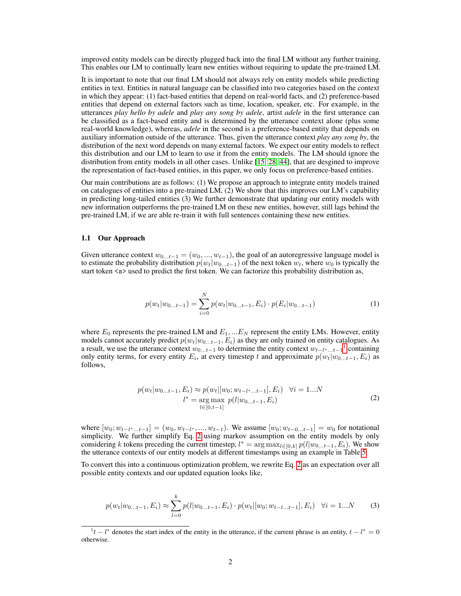improved entity models can be directly plugged back into the final LM without any further training. This enables our LM to continually learn new entities without requiring to update the pre-trained LM.

It is important to note that our final LM should not always rely on entity models while predicting entities in text. Entities in natural language can be classified into two categories based on the context in which they appear: (1) fact-based entities that depend on real-world facts, and (2) preference-based entities that depend on external factors such as time, location, speaker, etc. For example, in the utterances *play hello by adele* and *play any song by adele*, artist *adele* in the first utterance can be classified as a fact-based entity and is determined by the utterance context alone (plus some real-world knowledge), whereas, *adele* in the second is a preference-based entity that depends on auxiliary information outside of the utterance. Thus, given the utterance context *play any song by*, the distribution of the next word depends on many external factors. We expect our entity models to reflect this distribution and our LM to learn to use it from the entity models. The LM should ignore the distribution from entity models in all other cases. Unlike [\[15,](#page-10-3) [28,](#page-11-3) [44\]](#page-12-2), that are desgined to improve the representation of fact-based entities, in this paper, we only focus on preference-based entities.

Our main contributions are as follows: (1) We propose an approach to integrate entity models trained on catalogues of entities into a pre-trained LM, (2) We show that this improves our LM's capability in predicting long-tailed entities (3) We further demonstrate that updating our entity models with new information outperforms the pre-trained LM on these new entities, however, still lags behind the pre-trained LM, if we are able re-train it with full sentences containing these new entities.

#### 1.1 Our Approach

<span id="page-1-3"></span>Given utterance context  $w_{0...t-1} = (w_0, ..., w_{t-1})$ , the goal of an autoregressive language model is to estimate the probability distribution  $p(w_t|w_{0...t-1})$  of the next token  $w_t$ , where  $w_0$  is typically the start token <s> used to predict the first token. We can factorize this probability distribution as,

$$
p(w_t|w_{0...t-1}) = \sum_{i=0}^{N} p(w_t|w_{0...t-1}, E_i) \cdot p(E_i|w_{0...t-1})
$$
\n(1)

<span id="page-1-1"></span>where  $E_0$  represents the pre-trained LM and  $E_1, ... E_N$  represent the entity LMs. However, entity models cannot accurately predict  $p(w_t|w_{0...t-1}, E_i)$  as they are only trained on entity catalogues. As a result, we use the utterance context  $w_{0...t-1}$  $w_{0...t-1}$  $w_{0...t-1}$  to determine the entity context  $w_{t-l^*...t-1}$ <sup>1</sup> containing only entity terms, for every entity  $E_i$ , at every timestep t and approximate  $p(w_t|w_{0...t-1}, E_i)$  as follows,

$$
p(w_t|w_{0...t-1}, E_i) \approx p(w_t|[w_0; w_{t-l^*...t-1}], E_i) \quad \forall i = 1...N
$$
  

$$
l^* = \underset{l \in [0, t-1]}{\arg \max} p(l|w_{0...t-1}, E_i)
$$
 (2)

where  $[w_0; w_{t-l^*...t-1}] = (w_0, w_{t-l^*}, ..., w_{t-1})$ . We assume  $[w_0; w_{t-0...t-1}] = w_0$  for notational simplicity. We further simplify Eq. [2](#page-1-1) using markov assumption on the entity models by only considering k tokens preceding the current timestep,  $l^* = \arg \max_{l \in [0,k]} p(l|w_{0...t-1}, E_i)$ . We show the utterance contexts of our entity models at different timestamps using an example in Table [5](#page-7-0)

<span id="page-1-2"></span>To convert this into a continuous optimization problem, we rewrite Eq. [2](#page-1-1) as an expectation over all possible entity contexts and our updated equation looks like,

$$
p(w_t|w_{0...t-1}, E_i) \approx \sum_{l=0}^{k} p(l|w_{0...t-1}, E_i) \cdot p(w_t|[w_0; w_{t-l...t-1}], E_i) \quad \forall i = 1...N
$$
 (3)

<span id="page-1-0"></span> $1<sup>t</sup> - l^*$  denotes the start index of the entity in the utterance, if the current phrase is an entity,  $t - l^* = 0$ otherwise.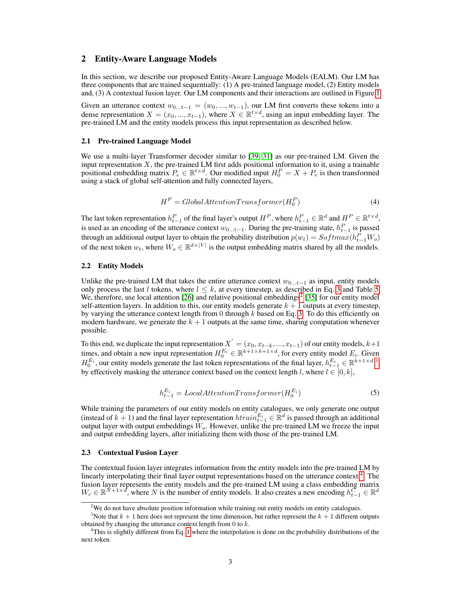## 2 Entity-Aware Language Models

In this section, we describe our proposed Entity-Aware Language Models (EALM). Our LM has three components that are trained sequentially: (1) A pre-trained language model, (2) Entity models and, (3) A contextual fusion layer. Our LM components and their interactions are outlined in Figure [1](#page-3-0)

Given an utterance context  $w_{0...t-1} = (w_0, ..., w_{t-1})$ , our LM first converts these tokens into a dense representation  $X = (x_0, ..., x_{t-1})$ , where  $X \in \mathbb{R}^{t \times d}$ , using an input embedding layer. The pre-trained LM and the entity models process this input representation as described below.

#### 2.1 Pre-trained Language Model

We use a multi-layer Transformer decoder similar to [\[39,](#page-12-3) [31\]](#page-11-4) as our pre-trained LM. Given the input representation  $X$ , the pre-trained LM first adds positional information to it, using a trainable positional embedding matrix  $P_e \in \mathbb{R}^{t \times d}$ . Our modified input  $H_0^P = X + P_e$  is then transformed using a stack of global self-attention and fully connected layers,

$$
HP = GlobalAttentionTransformer(H0P)
$$
 (4)

<span id="page-2-3"></span>The last token representation  $h_{t-1}^P$  of the final layer's output  $H^P$ , where  $h_{t-1}^P \in \mathbb{R}^d$  and  $H^P \in \mathbb{R}^{t \times d}$ , is used as an encoding of the utterance context  $w_{0...t-1}$ . During the pre-training state,  $h_{t-1}^P$  is passed through an additional output layer to obtain the probability distribution  $p(w_t) = Softmax(h_{t-1}^P W_o)$ of the next token  $w_t$ , where  $W_o \in \mathbb{R}^{d \times |V|}$  is the output embedding matrix shared by all the models.

#### 2.2 Entity Models

Unlike the pre-trained LM that takes the entire utterance context  $w_{0...t-1}$  as input, entity models only process the last l tokens, where  $l \leq k$ , at every timestep, as described in Eq. [3](#page-1-2) and Table [5.](#page-7-0) We, therefore, use local attention  $[26]$  and relative positional embeddings<sup>[2](#page-2-0)</sup>  $[35]$  for our entity model self-attention layers. In addition to this, our entity models generate  $k + 1$  outputs at every timestep, by varying the utterance context length from 0 through  $k$  based on Eq. [3.](#page-1-2) To do this efficiently on modern hardware, we generate the  $k + 1$  outputs at the same time, sharing computation whenever possible.

To this end, we duplicate the input representation  $X^{'}=(x_0, x_{t-k}, ..., x_{t-1})$  of our entity models,  $k+1$ times, and obtain a new input representation  $H_0^{E_i} \in \mathbb{R}^{k+1 \times k+1 \times d}$ , for every entity model  $E_i$ . Given  $H_0^{E_i}$ , our entity models generate the last token representations of the final layer,  $h_{t-1}^{E_i} \in \mathbb{R}^{k+1 \times d}$ <sup>[3](#page-2-1)</sup>, by effectively masking the utterance context based on the context length l, where  $l \in [0, k]$ ,

$$
h_{t-1}^{E_i} = LocalAttentionTransformer(H_0^{E_i})
$$
\n(5)

While training the parameters of our entity models on entity catalogues, we only generate one output (instead of  $k + 1$ ) and the final layer representation  $htrain_{t-1}^{E_i} \in \mathbb{R}^d$  is passed through an additional output layer with output embeddings  $W_o$ . However, unlike the pre-trained LM we freeze the input and output embedding layers, after initializing them with those of the pre-trained LM.

#### <span id="page-2-4"></span>2.3 Contextual Fusion Layer

The contextual fusion layer integrates information from the entity models into the pre-trained LM by linearly interpolating their final layer output representations based on the utterance context<sup>[4](#page-2-2)</sup>. The fusion layer represents the entity models and the pre-trained LM using a class embedding matrix  $W_c \in \mathbb{R}^{\tilde{N}+1 \times d}$ , where N is the number of entity models. It also creates a new encoding  $h_{t-1}^{\tilde{C}} \in \mathbb{R}^d$ 

<span id="page-2-1"></span><span id="page-2-0"></span> $2$ We do not have absolute position information while training out entity models on entity catalogues.

<sup>&</sup>lt;sup>3</sup>Note that  $k + 1$  here does not represent the time dimension, but rather represent the  $k + 1$  different outputs obtained by changing the utterance context length from  $0$  to  $k$ .

<span id="page-2-2"></span><sup>4</sup>This is slightly different from Eq. [1](#page-1-3) where the interpolation is done on the probability distributions of the next token.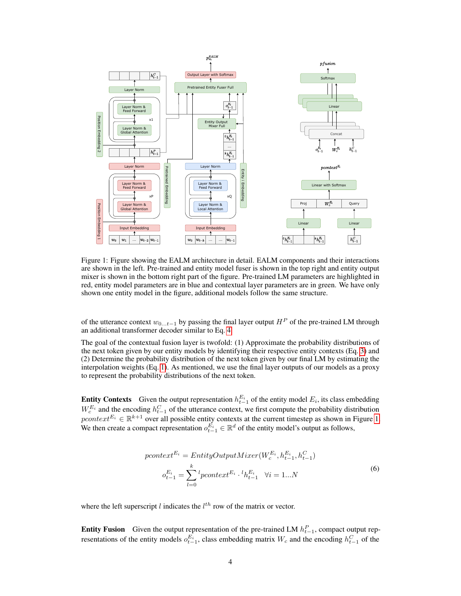

<span id="page-3-0"></span>Figure 1: Figure showing the EALM architecture in detail. EALM components and their interactions are shown in the left. Pre-trained and entity model fuser is shown in the top right and entity output mixer is shown in the bottom right part of the figure. Pre-trained LM parameters are highlighted in red, entity model parameters are in blue and contextual layer parameters are in green. We have only shown one entity model in the figure, additional models follow the same structure.

of the utterance context  $w_{0...t-1}$  by passing the final layer output  $H^P$  of the pre-trained LM through an additional transformer decoder similar to Eq. [4.](#page-2-3)

The goal of the contextual fusion layer is twofold: (1) Approximate the probability distributions of the next token given by our entity models by identifying their respective entity contexts (Eq. [3\)](#page-1-2) and (2) Determine the probability distribution of the next token given by our final LM by estimating the interpolation weights (Eq. [1\)](#page-1-3). As mentioned, we use the final layer outputs of our models as a proxy to represent the probability distributions of the next token.

**Entity Contexts** Given the output representation  $h_{t-1}^{E_i}$  of the entity model  $E_i$ , its class embedding  $W_c^{E_i}$  and the encoding  $h_{t-1}^C$  of the utterance context, we first compute the probability distribution  $pcontext^{E_i} \in \mathbb{R}^{k+1}$  over all possible entity contexts at the current timestep as shown in Figure [1.](#page-3-0) We then create a compact representation  $o_{t-1}^{E_i} \in \mathbb{R}^d$  of the entity model's output as follows,

$$
pcontext^{E_i} = EntityOutputMixer(W_c^{E_i}, h_{t-1}^{E_i}, h_{t-1}^C)
$$

$$
o_{t-1}^{E_i} = \sum_{l=0}^{k} {}^{l}pcontext^{E_i} \cdot {}^{l}h_{t-1}^{E_i} \quad \forall i = 1...N
$$
 (6)

where the left superscript  $l$  indicates the  $l<sup>th</sup>$  row of the matrix or vector.

**Entity Fusion** Given the output representation of the pre-trained LM  $h_{t-1}^P$ , compact output representations of the entity models  $o_{t-1}^{E_i}$ , class embedding matrix  $W_c$  and the encoding  $h_{t-1}^C$  of the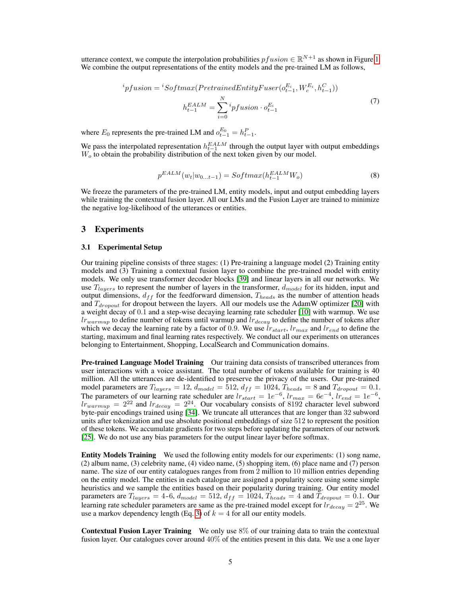<span id="page-4-0"></span>utterance context, we compute the interpolation probabilities  $pfusion \in \mathbb{R}^{N+1}$  as shown in Figure [1.](#page-3-0) We combine the output representations of the entity models and the pre-trained LM as follows,

$$
{}^{i}pfusion = {}^{i}Softmax(PretrainedEntityFuser(o_{t-1}^{E_i}, W_c^{E_i}, h_{t-1}^{C}))
$$

$$
h_{t-1}^{EALM} = \sum_{i=0}^{N} {}^{i}pfusion \cdot o_{t-1}^{E_i}
$$
(7)

where  $E_0$  represents the pre-trained LM and  $o_{t-1}^{E_0} = h_{t-1}^P$ .

We pass the interpolated representation  $h_{t-1}^{EALM}$  through the output layer with output embeddings  $W<sub>o</sub>$  to obtain the probability distribution of the next token given by our model.

$$
p^{EALM}(w_t|w_{0...t-1}) = Softmax(h_{t-1}^{EALM}W_o)
$$
\n
$$
(8)
$$

We freeze the parameters of the pre-trained LM, entity models, input and output embedding layers while training the contextual fusion layer. All our LMs and the Fusion Layer are trained to minimize the negative log-likelihood of the utterances or entities.

## 3 Experiments

#### 3.1 Experimental Setup

Our training pipeline consists of three stages: (1) Pre-training a language model (2) Training entity models and (3) Training a contextual fusion layer to combine the pre-trained model with entity models. We only use transformer decoder blocks [\[39\]](#page-12-3) and linear layers in all our networks. We use  $T_{layers}$  to represent the number of layers in the transformer,  $d_{model}$  for its hidden, input and output dimensions,  $d_{ff}$  for the feedforward dimension,  $T_{heads}$  as the number of attention heads and  $T_{dropout}$  for dropout between the layers. All our models use the AdamW optimizer [\[20\]](#page-10-4) with a weight decay of 0.1 and a step-wise decaying learning rate scheduler [\[10\]](#page-9-2) with warmup. We use  $lr_{warmup}$  to define number of tokens until warmup and  $lr_{decay}$  to define the number of tokens after which we decay the learning rate by a factor of 0.9. We use  $\hat{l}r_{start}$ ,  $l r_{max}$  and  $l r_{end}$  to define the starting, maximum and final learning rates respectively. We conduct all our experiments on utterances belonging to Entertainment, Shopping, LocalSearch and Communication domains.

Pre-trained Language Model Training Our training data consists of transcribed utterances from user interactions with a voice assistant. The total number of tokens available for training is 40 million. All the utterances are de-identified to preserve the privacy of the users. Our pre-trained model parameters are  $T_{layers} = 12$ ,  $d_{model} = 512$ ,  $d_{ff} = 1024$ ,  $T_{heads} = 8$  and  $T_{dropout} = 0.1$ . The parameters of our learning rate scheduler are  $lr_{start} = 1e^{-6}$ ,  $lr_{max} = 6e^{-4}$ ,  $lr_{end} = 1e^{-6}$ ,  $lr_{warmup} = 2^{22}$  and  $lr_{decay} = 2^{24}$ . Our vocabulary consists of 8192 character level subword byte-pair encodings trained using [\[34\]](#page-11-6). We truncate all utterances that are longer than 32 subword units after tokenization and use absolute positional embeddings of size 512 to represent the position of these tokens. We accumulate gradients for two steps before updating the parameters of our network [\[25\]](#page-11-7). We do not use any bias parameters for the output linear layer before softmax.

Entity Models Training We used the following entity models for our experiments: (1) song name, (2) album name, (3) celebrity name, (4) video name, (5) shopping item, (6) place name and (7) person name. The size of our entity catalogues ranges from from 2 million to 10 million entries depending on the entity model. The entities in each catalogue are assigned a popularity score using some simple heuristics and we sample the entities based on their popularity during training. Our entity model parameters are  $T_{layers} = 4-6$ ,  $d_{model} = 512$ ,  $d_{ff} = 1024$ ,  $T_{heads} = 4$  and  $T_{dropout} = 0.1$ . Our learning rate scheduler parameters are same as the pre-trained model except for  $lr_{decay} = 2^{25}$ . We use a markov dependency length (Eq. [3\)](#page-1-2) of  $k = 4$  for all our entity models.

Contextual Fusion Layer Training We only use 8% of our training data to train the contextual fusion layer. Our catalogues cover around 40% of the entities present in this data. We use a one layer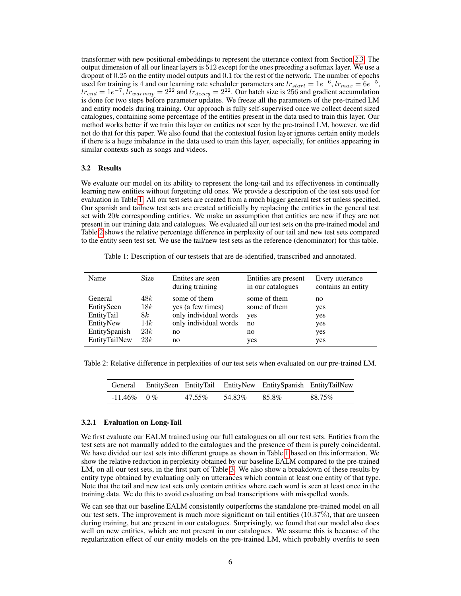transformer with new positional embeddings to represent the utterance context from Section [2.3.](#page-2-4) The output dimension of all our linear layers is 512 except for the ones preceding a softmax layer. We use a dropout of 0.25 on the entity model outputs and 0.1 for the rest of the network. The number of epochs used for training is 4 and our learning rate scheduler parameters are  $lr_{start} = 1e^{-6}$ ,  $lr_{max} = 6e^{-5}$ ,  $lr_{end} = 1e^{-7}$ ,  $lr_{warmup} = 2^{22}$  and  $lr_{decay} = 2^{22}$ . Our batch size is 256 and gradient accumulation is done for two steps before parameter updates. We freeze all the parameters of the pre-trained LM and entity models during training. Our approach is fully self-supervised once we collect decent sized catalogues, containing some percentage of the entities present in the data used to train this layer. Our method works better if we train this layer on entities not seen by the pre-trained LM, however, we did not do that for this paper. We also found that the contextual fusion layer ignores certain entity models if there is a huge imbalance in the data used to train this layer, especially, for entities appearing in similar contexts such as songs and videos.

#### 3.2 Results

We evaluate our model on its ability to represent the long-tail and its effectiveness in continually learning new entities without forgetting old ones. We provide a description of the test sets used for evaluation in Table [1.](#page-5-0) All our test sets are created from a much bigger general test set unless specified. Our spanish and tailnew test sets are created artificially by replacing the entities in the general test set with 20k corresponding entities. We make an assumption that entities are new if they are not present in our training data and catalogues. We evaluated all our test sets on the pre-trained model and Table [2](#page-5-1) shows the relative percentage difference in perplexity of our tail and new test sets compared to the entity seen test set. We use the tail/new test sets as the reference (denominator) for this table.

<span id="page-5-0"></span>Table 1: Description of our testsets that are de-identified, transcribed and annotated.

| Name          | <b>Size</b> | Entites are seen<br>during training | Entities are present<br>in our catalogues | Every utterance<br>contains an entity |
|---------------|-------------|-------------------------------------|-------------------------------------------|---------------------------------------|
| General       | 48k         | some of them                        | some of them                              | no                                    |
| EntitySeen    | 18k         | yes (a few times)                   | some of them                              | yes                                   |
| EntityTail    | 8k          | only individual words               | yes                                       | yes                                   |
| EntityNew     | 14k         | only individual words               | no                                        | yes                                   |
| EntitySpanish | 23k         | no                                  | no                                        | yes                                   |
| EntityTailNew | 23k         | no                                  | yes                                       | yes                                   |

Table 2: Relative difference in perplexities of our test sets when evaluated on our pre-trained LM.

<span id="page-5-1"></span>

|               |        |        | General EntitySeen EntityTail EntityNew EntitySpanish EntityTailNew |        |
|---------------|--------|--------|---------------------------------------------------------------------|--------|
| $-11.46\%$ 0% | 47.55% | 54.83% | 85.8%                                                               | 88.75% |

#### 3.2.1 Evaluation on Long-Tail

We first evaluate our EALM trained using our full catalogues on all our test sets. Entities from the test sets are not manually added to the catalogues and the presence of them is purely coincidental. We have divided our test sets into different groups as shown in Table [1](#page-5-0) based on this information. We show the relative reduction in perplexity obtained by our baseline EALM compared to the pre-trained LM, on all our test sets, in the first part of Table [3.](#page-6-0) We also show a breakdown of these results by entity type obtained by evaluating only on utterances which contain at least one entity of that type. Note that the tail and new test sets only contain entities where each word is seen at least once in the training data. We do this to avoid evaluating on bad transcriptions with misspelled words.

We can see that our baseline EALM consistently outperforms the standalone pre-trained model on all our test sets. The improvement is much more significant on tail entities  $(10.37\%)$ , that are unseen during training, but are present in our catalogues. Surprisingly, we found that our model also does well on new entities, which are not present in our catalogues. We assume this is because of the regularization effect of our entity models on the pre-trained LM, which probably overfits to seen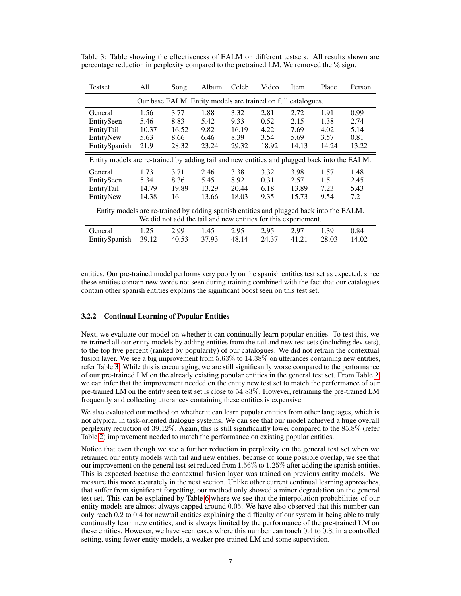| <b>Testset</b>                                                                                                                                            | All   | Song  | Album | Celeb | Video | Item  | Place         | Person |  |
|-----------------------------------------------------------------------------------------------------------------------------------------------------------|-------|-------|-------|-------|-------|-------|---------------|--------|--|
| Our base EALM. Entity models are trained on full catalogues.                                                                                              |       |       |       |       |       |       |               |        |  |
| General                                                                                                                                                   | 1.56  | 3.77  | 1.88  | 3.32  | 2.81  | 2.72  | 1.91          | 0.99   |  |
| EntitySeen                                                                                                                                                | 5.46  | 8.83  | 5.42  | 9.33  | 0.52  | 2.15  | 1.38          | 2.74   |  |
| EntityTail                                                                                                                                                | 10.37 | 16.52 | 9.82  | 16.19 | 4.22  | 7.69  | 4.02          | 5.14   |  |
| EntityNew                                                                                                                                                 | 5.63  | 8.66  | 6.46  | 8.39  | 3.54  | 5.69  | 3.57          | 0.81   |  |
| EntitySpanish                                                                                                                                             | 21.9  | 28.32 | 23.24 | 29.32 | 18.92 | 14.13 | 14.24         | 13.22  |  |
| Entity models are re-trained by adding tail and new entities and plugged back into the EALM.                                                              |       |       |       |       |       |       |               |        |  |
| General                                                                                                                                                   | 1.73  | 3.71  | 2.46  | 3.38  | 3.32  | 3.98  | 1.57          | 1.48   |  |
| EntitySeen                                                                                                                                                | 5.34  | 8.36  | 5.45  | 8.92  | 0.31  | 2.57  | $1.5^{\circ}$ | 2.45   |  |
| EntityTail                                                                                                                                                | 14.79 | 19.89 | 13.29 | 20.44 | 6.18  | 13.89 | 7.23          | 5.43   |  |
| EntityNew                                                                                                                                                 | 14.38 | 16    | 13.66 | 18.03 | 9.35  | 15.73 | 9.54          | 7.2    |  |
| Entity models are re-trained by adding spanish entities and plugged back into the EALM.<br>We did not add the tail and new entities for this experiement. |       |       |       |       |       |       |               |        |  |
| General                                                                                                                                                   | 1.25  | 2.99  | 1.45  | 2.95  | 2.95  | 2.97  | 1.39          | 0.84   |  |
| EntitySpanish                                                                                                                                             | 39.12 | 40.53 | 37.93 | 48.14 | 24.37 | 41.21 | 28.03         | 14.02  |  |

<span id="page-6-0"></span>Table 3: Table showing the effectiveness of EALM on different testsets. All results shown are percentage reduction in perplexity compared to the pretrained LM. We removed the  $\%$  sign.

entities. Our pre-trained model performs very poorly on the spanish entities test set as expected, since these entities contain new words not seen during training combined with the fact that our catalogues contain other spanish entities explains the significant boost seen on this test set.

## 3.2.2 Continual Learning of Popular Entities

Next, we evaluate our model on whether it can continually learn popular entities. To test this, we re-trained all our entity models by adding entities from the tail and new test sets (including dev sets), to the top five percent (ranked by popularity) of our catalogues. We did not retrain the contextual fusion layer. We see a big improvement from  $5.63\%$  to  $14.38\%$  on utterances containing new entities, refer Table [3.](#page-6-0) While this is encouraging, we are still significantly worse compared to the performance of our pre-trained LM on the already existing popular entities in the general test set. From Table [2,](#page-5-1) we can infer that the improvement needed on the entity new test set to match the performance of our pre-trained LM on the entity seen test set is close to 54.83%. However, retraining the pre-trained LM frequently and collecting utterances containing these entities is expensive.

We also evaluated our method on whether it can learn popular entities from other languages, which is not atypical in task-oriented dialogue systems. We can see that our model achieved a huge overall perplexity reduction of 39.12%. Again, this is still significantly lower compared to the 85.8% (refer Table [2\)](#page-5-1) improvement needed to match the performance on existing popular entities.

Notice that even though we see a further reduction in perplexity on the general test set when we retrained our entity models with tail and new entities, because of some possible overlap, we see that our improvement on the general test set reduced from 1.56% to 1.25% after adding the spanish entities. This is expected because the contextual fusion layer was trained on previous entity models. We measure this more accurately in the next section. Unlike other current continual learning approaches, that suffer from significant forgetting, our method only showed a minor degradation on the general test set. This can be explained by Table [6](#page-7-1) where we see that the interpolation probabilities of our entity models are almost always capped around 0.05. We have also observed that this number can only reach 0.2 to 0.4 for new/tail entities explaining the difficulty of our system in being able to truly continually learn new entities, and is always limited by the performance of the pre-trained LM on these entities. However, we have seen cases where this number can touch 0.4 to 0.8, in a controlled setting, using fewer entity models, a weaker pre-trained LM and some supervision.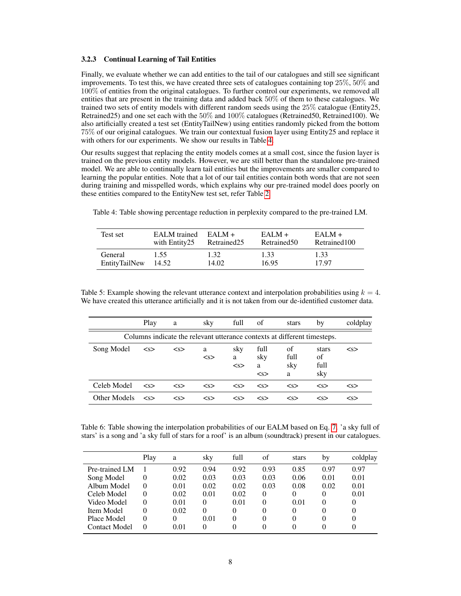#### 3.2.3 Continual Learning of Tail Entities

Finally, we evaluate whether we can add entities to the tail of our catalogues and still see significant improvements. To test this, we have created three sets of catalogues containing top 25%, 50% and  $100\%$  of entities from the original catalogues. To further control our experiments, we removed all entities that are present in the training data and added back 50% of them to these catalogues. We trained two sets of entity models with different random seeds using the 25% catalogue (Entity25, Retrained25) and one set each with the 50% and 100% catalogues (Retrained50, Retrained100). We also artificially created a test set (EntityTailNew) using entities randomly picked from the bottom 75% of our original catalogues. We train our contextual fusion layer using Entity25 and replace it with others for our experiments. We show our results in Table [4.](#page-7-2)

Our results suggest that replacing the entity models comes at a small cost, since the fusion layer is trained on the previous entity models. However, we are still better than the standalone pre-trained model. We are able to continually learn tail entities but the improvements are smaller compared to learning the popular entities. Note that a lot of our tail entities contain both words that are not seen during training and misspelled words, which explains why our pre-trained model does poorly on these entities compared to the EntityNew test set, refer Table [2.](#page-5-1)

| Test set      | <b>EALM</b> trained | $EAI.M +$   | $EAI.M +$    | $EAI.M +$     |
|---------------|---------------------|-------------|--------------|---------------|
|               | with Entity25       | Retrained25 | Retrained 50 | Retrained 100 |
| General       | 1.55                | 1.32        | 1.33         | 1.33          |
| EntityTailNew | 14.52               | 14.02       | 16.95        | 17.97         |

<span id="page-7-2"></span>Table 4: Table showing percentage reduction in perplexity compared to the pre-trained LM.

<span id="page-7-0"></span>Table 5: Example showing the relevant utterance context and interpolation probabilities using  $k = 4$ . We have created this utterance artificially and it is not taken from our de-identified customer data.

|                                                                          | Play      | a         | sky      | full            | οf                      | stars                  | by                         | coldplay  |  |
|--------------------------------------------------------------------------|-----------|-----------|----------|-----------------|-------------------------|------------------------|----------------------------|-----------|--|
| Columns indicate the relevant utterance contexts at different timesteps. |           |           |          |                 |                         |                        |                            |           |  |
| Song Model                                                               | < s       | < s       | a<br>< s | sky<br>a<br>< s | full<br>sky<br>a<br>< s | of<br>full<br>sky<br>a | stars<br>of<br>full<br>sky | $<$ s $>$ |  |
| Celeb Model                                                              | < s       | < s       | < s      | < s             | $<$ s>                  | < s                    | $<$ s $>$                  | < s       |  |
| Other Models                                                             | $<$ s $>$ | $<$ s $>$ | < s      | $<$ s $>$       | $<$ s $>$               | $<$ s $>$              | $<$ s $>$                  | $<$ s $>$ |  |

<span id="page-7-1"></span>Table 6: Table showing the interpolation probabilities of our EALM based on Eq. [7.](#page-4-0) 'a sky full of stars' is a song and 'a sky full of stars for a roof' is an album (soundtrack) present in our catalogues.

|                      | Play | a    | sky      | full | of       | stars | by       | coldplay |
|----------------------|------|------|----------|------|----------|-------|----------|----------|
| Pre-trained LM       |      | 0.92 | 0.94     | 0.92 | 0.93     | 0.85  | 0.97     | 0.97     |
| Song Model           |      | 0.02 | 0.03     | 0.03 | 0.03     | 0.06  | 0.01     | 0.01     |
| Album Model          | 0    | 0.01 | 0.02     | 0.02 | 0.03     | 0.08  | 0.02     | 0.01     |
| Celeb Model          |      | 0.02 | 0.01     | 0.02 | $\Omega$ | 0     | $^{(1)}$ | 0.01     |
| Video Model          |      | 0.01 | $\Omega$ | 0.01 | 0        | 0.01  | $\theta$ | 0        |
| Item Model           |      | 0.02 | 0        | 0    | $\Omega$ | 0     | $\theta$ | 0        |
| Place Model          |      |      | 0.01     | 0    | $\Omega$ | 0     | $\theta$ | 0        |
| <b>Contact Model</b> | 0    | 0.01 | 0        | 0    | 0        | 0     |          |          |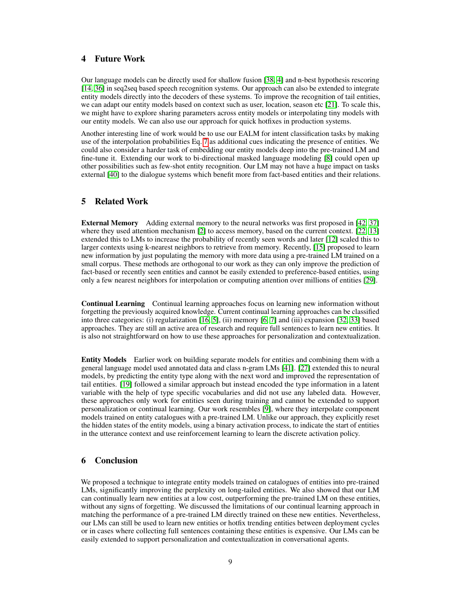# 4 Future Work

Our language models can be directly used for shallow fusion [\[38,](#page-12-5) [4\]](#page-9-3) and n-best hypothesis rescoring [\[14,](#page-10-5) [36\]](#page-12-6) in seq2seq based speech recognition systems. Our approach can also be extended to integrate entity models directly into the decoders of these systems. To improve the recognition of tail entities, we can adapt our entity models based on context such as user, location, season etc [\[21\]](#page-10-6). To scale this, we might have to explore sharing parameters across entity models or interpolating tiny models with our entity models. We can also use our approach for quick hotfixes in production systems.

Another interesting line of work would be to use our EALM for intent classification tasks by making use of the interpolation probabilities Eq. [7](#page-4-0) as additional cues indicating the presence of entities. We could also consider a harder task of embedding our entity models deep into the pre-trained LM and fine-tune it. Extending our work to bi-directional masked language modeling [\[8\]](#page-9-4) could open up other possibilities such as few-shot entity recognition. Our LM may not have a huge impact on tasks external [\[40\]](#page-12-7) to the dialogue systems which benefit more from fact-based entities and their relations.

# 5 Related Work

External Memory Adding external memory to the neural networks was first proposed in [\[42,](#page-12-8) [37\]](#page-12-9) where they used attention mechanism [\[2\]](#page-9-5) to access memory, based on the current context. [\[22,](#page-11-8) [13\]](#page-10-7) extended this to LMs to increase the probability of recently seen words and later [\[12\]](#page-10-8) scaled this to larger contexts using k-nearest neighbors to retrieve from memory. Recently, [\[15\]](#page-10-3) proposed to learn new information by just populating the memory with more data using a pre-trained LM trained on a small corpus. These methods are orthogonal to our work as they can only improve the prediction of fact-based or recently seen entities and cannot be easily extended to preference-based entities, using only a few nearest neighbors for interpolation or computing attention over millions of entities [\[29\]](#page-11-9).

Continual Learning Continual learning approaches focus on learning new information without forgetting the previously acquired knowledge. Current continual learning approaches can be classified into three categories: (i) regularization [\[16,](#page-10-9) [5\]](#page-9-6), (ii) memory [\[6,](#page-9-7) [7\]](#page-9-8) and (iii) expansion [\[32,](#page-11-10) [33\]](#page-11-11) based approaches. They are still an active area of research and require full sentences to learn new entities. It is also not straightforward on how to use these approaches for personalization and contextualization.

Entity Models Earlier work on building separate models for entities and combining them with a general language model used annotated data and class n-gram LMs [\[41\]](#page-12-10). [\[27\]](#page-11-12) extended this to neural models, by predicting the entity type along with the next word and improved the representation of tail entities. [\[19\]](#page-10-10) followed a similar approach but instead encoded the type information in a latent variable with the help of type specific vocabularies and did not use any labeled data. However, these approaches only work for entities seen during training and cannot be extended to support personalization or continual learning. Our work resembles [\[9\]](#page-9-9), where they interpolate component models trained on entity catalogues with a pre-trained LM. Unlike our approach, they explicitly reset the hidden states of the entity models, using a binary activation process, to indicate the start of entities in the utterance context and use reinforcement learning to learn the discrete activation policy.

# 6 Conclusion

We proposed a technique to integrate entity models trained on catalogues of entities into pre-trained LMs, significantly improving the perplexity on long-tailed entities. We also showed that our LM can continually learn new entities at a low cost, outperforming the pre-trained LM on these entities, without any signs of forgetting. We discussed the limitations of our continual learning approach in matching the performance of a pre-trained LM directly trained on these new entities. Nevertheless, our LMs can still be used to learn new entities or hotfix trending entities between deployment cycles or in cases where collecting full sentences containing these entities is expensive. Our LMs can be easily extended to support personalization and contextualization in conversational agents.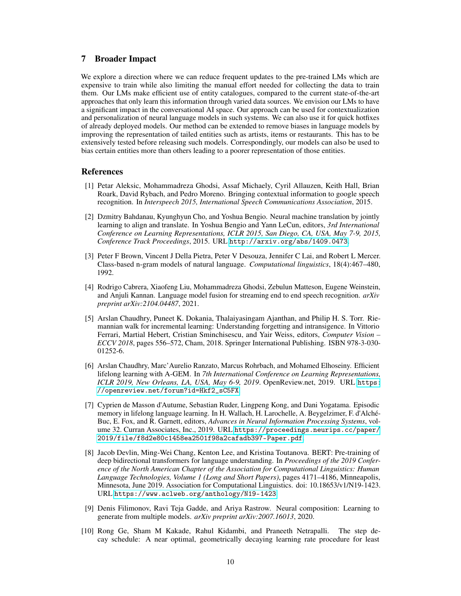## 7 Broader Impact

We explore a direction where we can reduce frequent updates to the pre-trained LMs which are expensive to train while also limiting the manual effort needed for collecting the data to train them. Our LMs make efficient use of entity catalogues, compared to the current state-of-the-art approaches that only learn this information through varied data sources. We envision our LMs to have a significant impact in the conversational AI space. Our approach can be used for contextualization and personalization of neural language models in such systems. We can also use it for quick hotfixes of already deployed models. Our method can be extended to remove biases in language models by improving the representation of tailed entities such as artists, items or restaurants. This has to be extensively tested before releasing such models. Correspondingly, our models can also be used to bias certain entities more than others leading to a poorer representation of those entities.

#### References

- <span id="page-9-1"></span>[1] Petar Aleksic, Mohammadreza Ghodsi, Assaf Michaely, Cyril Allauzen, Keith Hall, Brian Roark, David Rybach, and Pedro Moreno. Bringing contextual information to google speech recognition. In *Interspeech 2015, International Speech Communications Association*, 2015.
- <span id="page-9-5"></span>[2] Dzmitry Bahdanau, Kyunghyun Cho, and Yoshua Bengio. Neural machine translation by jointly learning to align and translate. In Yoshua Bengio and Yann LeCun, editors, *3rd International Conference on Learning Representations, ICLR 2015, San Diego, CA, USA, May 7-9, 2015, Conference Track Proceedings*, 2015. URL <http://arxiv.org/abs/1409.0473>.
- <span id="page-9-0"></span>[3] Peter F Brown, Vincent J Della Pietra, Peter V Desouza, Jennifer C Lai, and Robert L Mercer. Class-based n-gram models of natural language. *Computational linguistics*, 18(4):467–480, 1992.
- <span id="page-9-3"></span>[4] Rodrigo Cabrera, Xiaofeng Liu, Mohammadreza Ghodsi, Zebulun Matteson, Eugene Weinstein, and Anjuli Kannan. Language model fusion for streaming end to end speech recognition. *arXiv preprint arXiv:2104.04487*, 2021.
- <span id="page-9-6"></span>[5] Arslan Chaudhry, Puneet K. Dokania, Thalaiyasingam Ajanthan, and Philip H. S. Torr. Riemannian walk for incremental learning: Understanding forgetting and intransigence. In Vittorio Ferrari, Martial Hebert, Cristian Sminchisescu, and Yair Weiss, editors, *Computer Vision – ECCV 2018*, pages 556–572, Cham, 2018. Springer International Publishing. ISBN 978-3-030- 01252-6.
- <span id="page-9-7"></span>[6] Arslan Chaudhry, Marc'Aurelio Ranzato, Marcus Rohrbach, and Mohamed Elhoseiny. Efficient lifelong learning with A-GEM. In *7th International Conference on Learning Representations, ICLR 2019, New Orleans, LA, USA, May 6-9, 2019*. OpenReview.net, 2019. URL [https:](https://openreview.net/forum?id=Hkf2_sC5FX) [//openreview.net/forum?id=Hkf2\\_sC5FX](https://openreview.net/forum?id=Hkf2_sC5FX).
- <span id="page-9-8"></span>[7] Cyprien de Masson d'Autume, Sebastian Ruder, Lingpeng Kong, and Dani Yogatama. Episodic memory in lifelong language learning. In H. Wallach, H. Larochelle, A. Beygelzimer, F. d'Alché-Buc, E. Fox, and R. Garnett, editors, *Advances in Neural Information Processing Systems*, volume 32. Curran Associates, Inc., 2019. URL [https://proceedings.neurips.cc/paper/](https://proceedings.neurips.cc/paper/2019/file/f8d2e80c1458ea2501f98a2cafadb397-Paper.pdf) [2019/file/f8d2e80c1458ea2501f98a2cafadb397-Paper.pdf](https://proceedings.neurips.cc/paper/2019/file/f8d2e80c1458ea2501f98a2cafadb397-Paper.pdf).
- <span id="page-9-4"></span>[8] Jacob Devlin, Ming-Wei Chang, Kenton Lee, and Kristina Toutanova. BERT: Pre-training of deep bidirectional transformers for language understanding. In *Proceedings of the 2019 Conference of the North American Chapter of the Association for Computational Linguistics: Human Language Technologies, Volume 1 (Long and Short Papers)*, pages 4171–4186, Minneapolis, Minnesota, June 2019. Association for Computational Linguistics. doi: 10.18653/v1/N19-1423. URL <https://www.aclweb.org/anthology/N19-1423>.
- <span id="page-9-9"></span>[9] Denis Filimonov, Ravi Teja Gadde, and Ariya Rastrow. Neural composition: Learning to generate from multiple models. *arXiv preprint arXiv:2007.16013*, 2020.
- <span id="page-9-2"></span>[10] Rong Ge, Sham M Kakade, Rahul Kidambi, and Praneeth Netrapalli. The step decay schedule: A near optimal, geometrically decaying learning rate procedure for least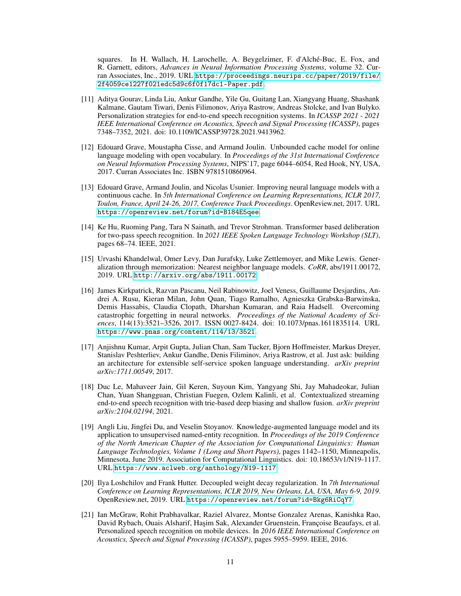squares. In H. Wallach, H. Larochelle, A. Beygelzimer, F. d'Alché-Buc, E. Fox, and R. Garnett, editors, *Advances in Neural Information Processing Systems*, volume 32. Curran Associates, Inc., 2019. URL [https://proceedings.neurips.cc/paper/2019/file/](https://proceedings.neurips.cc/paper/2019/file/2f4059ce1227f021edc5d9c6f0f17dc1-Paper.pdf) [2f4059ce1227f021edc5d9c6f0f17dc1-Paper.pdf](https://proceedings.neurips.cc/paper/2019/file/2f4059ce1227f021edc5d9c6f0f17dc1-Paper.pdf).

- <span id="page-10-1"></span>[11] Aditya Gourav, Linda Liu, Ankur Gandhe, Yile Gu, Guitang Lan, Xiangyang Huang, Shashank Kalmane, Gautam Tiwari, Denis Filimonov, Ariya Rastrow, Andreas Stolcke, and Ivan Bulyko. Personalization strategies for end-to-end speech recognition systems. In *ICASSP 2021 - 2021 IEEE International Conference on Acoustics, Speech and Signal Processing (ICASSP)*, pages 7348–7352, 2021. doi: 10.1109/ICASSP39728.2021.9413962.
- <span id="page-10-8"></span>[12] Edouard Grave, Moustapha Cisse, and Armand Joulin. Unbounded cache model for online language modeling with open vocabulary. In *Proceedings of the 31st International Conference on Neural Information Processing Systems*, NIPS'17, page 6044–6054, Red Hook, NY, USA, 2017. Curran Associates Inc. ISBN 9781510860964.
- <span id="page-10-7"></span>[13] Edouard Grave, Armand Joulin, and Nicolas Usunier. Improving neural language models with a continuous cache. In *5th International Conference on Learning Representations, ICLR 2017, Toulon, France, April 24-26, 2017, Conference Track Proceedings*. OpenReview.net, 2017. URL <https://openreview.net/forum?id=B184E5qee>.
- <span id="page-10-5"></span>[14] Ke Hu, Ruoming Pang, Tara N Sainath, and Trevor Strohman. Transformer based deliberation for two-pass speech recognition. In *2021 IEEE Spoken Language Technology Workshop (SLT)*, pages 68–74. IEEE, 2021.
- <span id="page-10-3"></span>[15] Urvashi Khandelwal, Omer Levy, Dan Jurafsky, Luke Zettlemoyer, and Mike Lewis. Generalization through memorization: Nearest neighbor language models. *CoRR*, abs/1911.00172, 2019. URL <http://arxiv.org/abs/1911.00172>.
- <span id="page-10-9"></span>[16] James Kirkpatrick, Razvan Pascanu, Neil Rabinowitz, Joel Veness, Guillaume Desjardins, Andrei A. Rusu, Kieran Milan, John Quan, Tiago Ramalho, Agnieszka Grabska-Barwinska, Demis Hassabis, Claudia Clopath, Dharshan Kumaran, and Raia Hadsell. Overcoming catastrophic forgetting in neural networks. *Proceedings of the National Academy of Sciences*, 114(13):3521–3526, 2017. ISSN 0027-8424. doi: 10.1073/pnas.1611835114. URL <https://www.pnas.org/content/114/13/3521>.
- <span id="page-10-2"></span>[17] Anjishnu Kumar, Arpit Gupta, Julian Chan, Sam Tucker, Bjorn Hoffmeister, Markus Dreyer, Stanislav Peshterliev, Ankur Gandhe, Denis Filiminov, Ariya Rastrow, et al. Just ask: building an architecture for extensible self-service spoken language understanding. *arXiv preprint arXiv:1711.00549*, 2017.
- <span id="page-10-0"></span>[18] Duc Le, Mahaveer Jain, Gil Keren, Suyoun Kim, Yangyang Shi, Jay Mahadeokar, Julian Chan, Yuan Shangguan, Christian Fuegen, Ozlem Kalinli, et al. Contextualized streaming end-to-end speech recognition with trie-based deep biasing and shallow fusion. *arXiv preprint arXiv:2104.02194*, 2021.
- <span id="page-10-10"></span>[19] Angli Liu, Jingfei Du, and Veselin Stoyanov. Knowledge-augmented language model and its application to unsupervised named-entity recognition. In *Proceedings of the 2019 Conference of the North American Chapter of the Association for Computational Linguistics: Human Language Technologies, Volume 1 (Long and Short Papers)*, pages 1142–1150, Minneapolis, Minnesota, June 2019. Association for Computational Linguistics. doi: 10.18653/v1/N19-1117. URL <https://www.aclweb.org/anthology/N19-1117>.
- <span id="page-10-4"></span>[20] Ilya Loshchilov and Frank Hutter. Decoupled weight decay regularization. In *7th International Conference on Learning Representations, ICLR 2019, New Orleans, LA, USA, May 6-9, 2019*. OpenReview.net, 2019. URL <https://openreview.net/forum?id=Bkg6RiCqY7>.
- <span id="page-10-6"></span>[21] Ian McGraw, Rohit Prabhavalkar, Raziel Alvarez, Montse Gonzalez Arenas, Kanishka Rao, David Rybach, Ouais Alsharif, Haşim Sak, Alexander Gruenstein, Françoise Beaufays, et al. Personalized speech recognition on mobile devices. In *2016 IEEE International Conference on Acoustics, Speech and Signal Processing (ICASSP)*, pages 5955–5959. IEEE, 2016.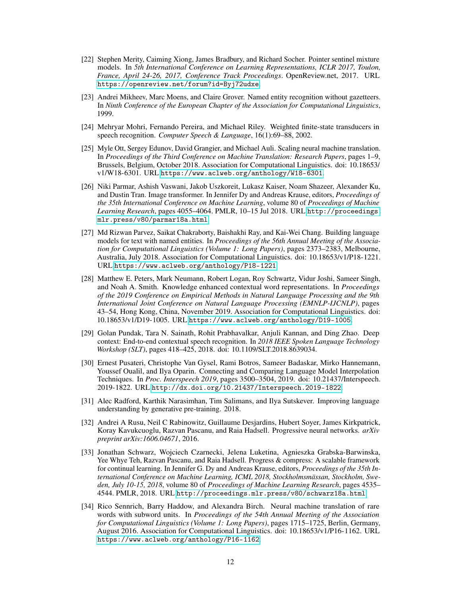- <span id="page-11-8"></span>[22] Stephen Merity, Caiming Xiong, James Bradbury, and Richard Socher. Pointer sentinel mixture models. In *5th International Conference on Learning Representations, ICLR 2017, Toulon, France, April 24-26, 2017, Conference Track Proceedings*. OpenReview.net, 2017. URL <https://openreview.net/forum?id=Byj72udxe>.
- <span id="page-11-2"></span>[23] Andrei Mikheev, Marc Moens, and Claire Grover. Named entity recognition without gazetteers. In *Ninth Conference of the European Chapter of the Association for Computational Linguistics*, 1999.
- <span id="page-11-1"></span>[24] Mehryar Mohri, Fernando Pereira, and Michael Riley. Weighted finite-state transducers in speech recognition. *Computer Speech & Language*, 16(1):69–88, 2002.
- <span id="page-11-7"></span>[25] Myle Ott, Sergey Edunov, David Grangier, and Michael Auli. Scaling neural machine translation. In *Proceedings of the Third Conference on Machine Translation: Research Papers*, pages 1–9, Brussels, Belgium, October 2018. Association for Computational Linguistics. doi: 10.18653/ v1/W18-6301. URL <https://www.aclweb.org/anthology/W18-6301>.
- <span id="page-11-5"></span>[26] Niki Parmar, Ashish Vaswani, Jakob Uszkoreit, Lukasz Kaiser, Noam Shazeer, Alexander Ku, and Dustin Tran. Image transformer. In Jennifer Dy and Andreas Krause, editors, *Proceedings of the 35th International Conference on Machine Learning*, volume 80 of *Proceedings of Machine Learning Research*, pages 4055–4064. PMLR, 10–15 Jul 2018. URL [http://proceedings.](http://proceedings.mlr.press/v80/parmar18a.html) [mlr.press/v80/parmar18a.html](http://proceedings.mlr.press/v80/parmar18a.html).
- <span id="page-11-12"></span>[27] Md Rizwan Parvez, Saikat Chakraborty, Baishakhi Ray, and Kai-Wei Chang. Building language models for text with named entities. In *Proceedings of the 56th Annual Meeting of the Association for Computational Linguistics (Volume 1: Long Papers)*, pages 2373–2383, Melbourne, Australia, July 2018. Association for Computational Linguistics. doi: 10.18653/v1/P18-1221. URL <https://www.aclweb.org/anthology/P18-1221>.
- <span id="page-11-3"></span>[28] Matthew E. Peters, Mark Neumann, Robert Logan, Roy Schwartz, Vidur Joshi, Sameer Singh, and Noah A. Smith. Knowledge enhanced contextual word representations. In *Proceedings of the 2019 Conference on Empirical Methods in Natural Language Processing and the 9th International Joint Conference on Natural Language Processing (EMNLP-IJCNLP)*, pages 43–54, Hong Kong, China, November 2019. Association for Computational Linguistics. doi: 10.18653/v1/D19-1005. URL <https://www.aclweb.org/anthology/D19-1005>.
- <span id="page-11-9"></span>[29] Golan Pundak, Tara N. Sainath, Rohit Prabhavalkar, Anjuli Kannan, and Ding Zhao. Deep context: End-to-end contextual speech recognition. In *2018 IEEE Spoken Language Technology Workshop (SLT)*, pages 418–425, 2018. doi: 10.1109/SLT.2018.8639034.
- <span id="page-11-0"></span>[30] Ernest Pusateri, Christophe Van Gysel, Rami Botros, Sameer Badaskar, Mirko Hannemann, Youssef Oualil, and Ilya Oparin. Connecting and Comparing Language Model Interpolation Techniques. In *Proc. Interspeech 2019*, pages 3500–3504, 2019. doi: 10.21437/Interspeech. 2019-1822. URL <http://dx.doi.org/10.21437/Interspeech.2019-1822>.
- <span id="page-11-4"></span>[31] Alec Radford, Karthik Narasimhan, Tim Salimans, and Ilya Sutskever. Improving language understanding by generative pre-training. 2018.
- <span id="page-11-10"></span>[32] Andrei A Rusu, Neil C Rabinowitz, Guillaume Desjardins, Hubert Soyer, James Kirkpatrick, Koray Kavukcuoglu, Razvan Pascanu, and Raia Hadsell. Progressive neural networks. *arXiv preprint arXiv:1606.04671*, 2016.
- <span id="page-11-11"></span>[33] Jonathan Schwarz, Wojciech Czarnecki, Jelena Luketina, Agnieszka Grabska-Barwinska, Yee Whye Teh, Razvan Pascanu, and Raia Hadsell. Progress & compress: A scalable framework for continual learning. In Jennifer G. Dy and Andreas Krause, editors, *Proceedings of the 35th International Conference on Machine Learning, ICML 2018, Stockholmsmässan, Stockholm, Sweden, July 10-15, 2018*, volume 80 of *Proceedings of Machine Learning Research*, pages 4535– 4544. PMLR, 2018. URL <http://proceedings.mlr.press/v80/schwarz18a.html>.
- <span id="page-11-6"></span>[34] Rico Sennrich, Barry Haddow, and Alexandra Birch. Neural machine translation of rare words with subword units. In *Proceedings of the 54th Annual Meeting of the Association for Computational Linguistics (Volume 1: Long Papers)*, pages 1715–1725, Berlin, Germany, August 2016. Association for Computational Linguistics. doi: 10.18653/v1/P16-1162. URL <https://www.aclweb.org/anthology/P16-1162>.